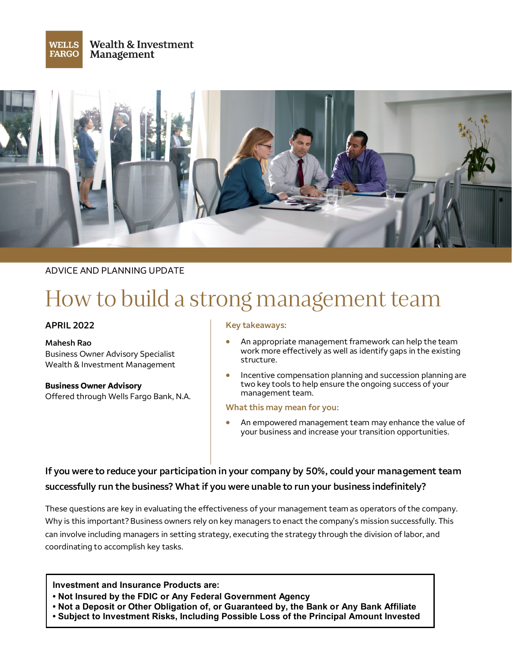



## ADVICE AND PLANNING UPDATE

# How to build a strong management team

#### **APRIL 2022**

**Mahesh Rao** Business Owner Advisory Specialist Wealth & Investment Management

**Business Owner Advisory** Offered through Wells Fargo Bank, N.A.

#### **Key takeaways:**

- An appropriate management framework can help the team work more effectively as well as identify gaps in the existing structure.
- Incentive compensation planning and succession planning are two key tools to help ensure the ongoing success of your management team.

#### **What this may mean for you:**

An empowered management team may enhance the value of your business and increase your transition opportunities.

# **If you were to reduce your participation in your company by 50%, could your management team successfully run the business? What if you were unable to run your business indefinitely?**

These questions are key in evaluating the effectiveness of your management team as operators of the company. Why is this important? Business owners rely on key managers to enact the company's mission successfully. This can involve including managers in setting strategy, executing the strategy through the division of labor, and coordinating to accomplish key tasks.

#### **Investment and Insurance Products are:**

- **• Not Insured by the FDIC or Any Federal Government Agency**
- **• Not a Deposit or Other Obligation of, or Guaranteed by, the Bank or Any Bank Affiliate**
- **• Subject to Investment Risks, Including Possible Loss of the Principal Amount Invested**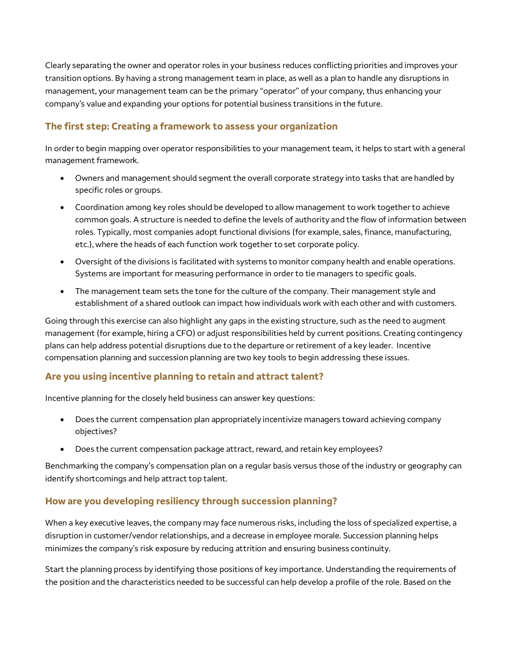Clearly separating the owner and operator roles in your business reduces conflicting priorities and improves your transition options. By having a strong management team in place, as well as a plan to handle any disruptions in management, your management team can be the primary "operator" of your company, thus enhancing your company's value and expanding your options for potential business transitions in the future.

# **The first step: Creating a framework to assess your organization**

In order to begin mapping over operator responsibilities to your management team, it helps to start with a general management framework.

- Owners and management should segment the overall corporate strategy into tasks that are handled by specific roles or groups.
- Coordination among key roles should be developed to allow management to work together to achieve common goals. A structure is needed to define the levels of authority and the flow of information between roles. Typically, most companies adopt functional divisions (for example, sales, finance, manufacturing, etc.), where the heads of each function work together to set corporate policy.
- Oversight of the divisions is facilitated with systems to monitor company health and enable operations. Systems are important for measuring performance in order to tie managers to specific goals.
- The management team sets the tone for the culture of the company. Their management style and establishment of a shared outlook can impact how individuals work with each other and with customers.

Going through this exercise can also highlight any gaps in the existing structure, such as the need to augment management (for example, hiring a CFO) or adjust responsibilities held by current positions. Creating contingency plans can help address potential disruptions due to the departure or retirement of a key leader. Incentive compensation planning and succession planning are two key tools to begin addressing these issues.

## **Are you using incentive planning to retain and attract talent?**

Incentive planning for the closely held business can answer key questions:

- Does the current compensation plan appropriately incentivize managers toward achieving company objectives?
- Does the current compensation package attract, reward, and retain key employees?

Benchmarking the company's compensation plan on a regular basis versus those of the industry or geography can identify shortcomings and help attract top talent.

## **How are you developing resiliency through succession planning?**

When a key executive leaves, the company may face numerous risks, including the loss of specialized expertise, a disruption in customer/vendor relationships, and a decrease in employee morale. Succession planning helps minimizes the company's risk exposure by reducing attrition and ensuring business continuity.

Start the planning process by identifying those positions of key importance. Understanding the requirements of the position and the characteristics needed to be successful can help develop a profile of the role. Based on the